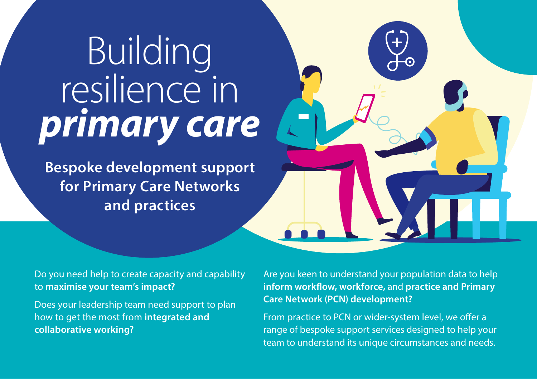# Building resilience in *primary care*

**Bespoke development support for Primary Care Networks and practices**

Do you need help to create capacity and capability to **maximise your team's impact?**

Does your leadership team need support to plan how to get the most from **integrated and collaborative working?**

Are you keen to understand your population data to help **inform workflow, workforce,** and **practice and Primary Care Network (PCN) development?**

From practice to PCN or wider-system level, we offer a range of bespoke support services designed to help your team to understand its unique circumstances and needs.